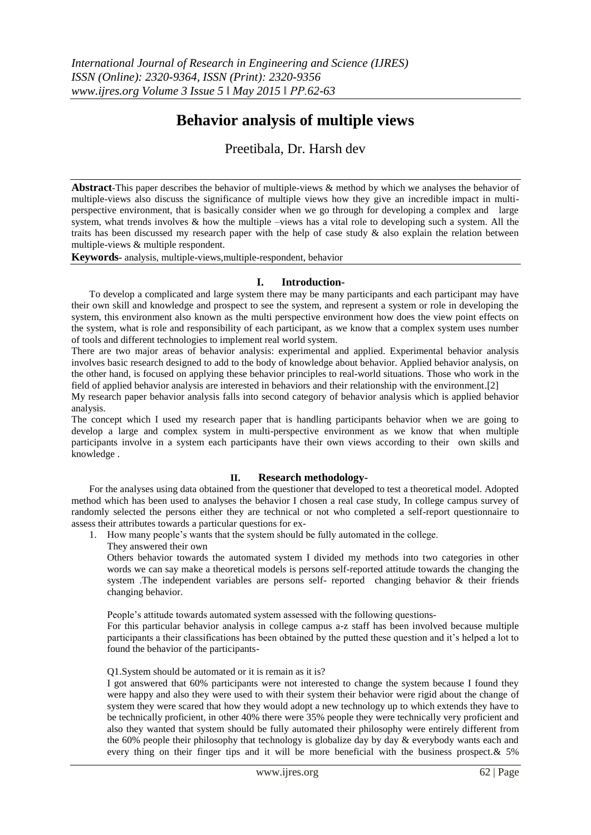# **Behavior analysis of multiple views**

# Preetibala, Dr. Harsh dev

**Abstract**-This paper describes the behavior of multiple-views & method by which we analyses the behavior of multiple-views also discuss the significance of multiple views how they give an incredible impact in multiperspective environment, that is basically consider when we go through for developing a complex and large system, what trends involves & how the multiple –views has a vital role to developing such a system. All the traits has been discussed my research paper with the help of case study & also explain the relation between multiple-views & multiple respondent.

**Keywords-** analysis, multiple-views,multiple-respondent, behavior

## **I. Introduction-**

To develop a complicated and large system there may be many participants and each participant may have their own skill and knowledge and prospect to see the system, and represent a system or role in developing the system, this environment also known as the multi perspective environment how does the view point effects on the system, what is role and responsibility of each participant, as we know that a complex system uses number of tools and different technologies to implement real world system.

There are two major areas of behavior analysis: experimental and applied. Experimental behavior analysis involves basic research designed to add to the body of knowledge about behavior. Applied behavior analysis, on the other hand, is focused on applying these behavior principles to real-world situations. Those who work in the field of applied behavior analysis are interested in behaviors and their relationship with the environment.[2]

My research paper behavior analysis falls into second category of behavior analysis which is applied behavior analysis.

The concept which I used my research paper that is handling participants behavior when we are going to develop a large and complex system in multi-perspective environment as we know that when multiple participants involve in a system each participants have their own views according to their own skills and knowledge .

# **II. Research methodology-**

For the analyses using data obtained from the questioner that developed to test a theoretical model. Adopted method which has been used to analyses the behavior I chosen a real case study, In college campus survey of randomly selected the persons either they are technical or not who completed a self-report questionnaire to assess their attributes towards a particular questions for ex-

- 1. How many people's wants that the system should be fully automated in the college.
	- They answered their own

Others behavior towards the automated system I divided my methods into two categories in other words we can say make a theoretical models is persons self-reported attitude towards the changing the system .The independent variables are persons self- reported changing behavior & their friends changing behavior.

People's attitude towards automated system assessed with the following questions-

For this particular behavior analysis in college campus a-z staff has been involved because multiple participants a their classifications has been obtained by the putted these question and it's helped a lot to found the behavior of the participants-

Q1.System should be automated or it is remain as it is?

I got answered that 60% participants were not interested to change the system because I found they were happy and also they were used to with their system their behavior were rigid about the change of system they were scared that how they would adopt a new technology up to which extends they have to be technically proficient, in other 40% there were 35% people they were technically very proficient and also they wanted that system should be fully automated their philosophy were entirely different from the 60% people their philosophy that technology is globalize day by day & everybody wants each and every thing on their finger tips and it will be more beneficial with the business prospect.& 5%